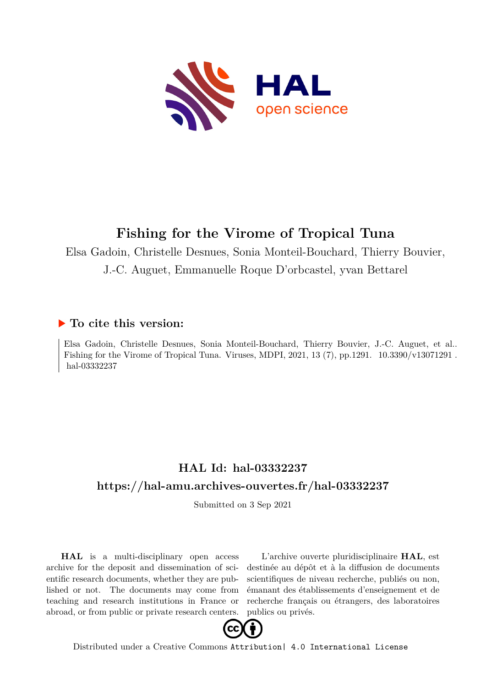

# **Fishing for the Virome of Tropical Tuna**

Elsa Gadoin, Christelle Desnues, Sonia Monteil-Bouchard, Thierry Bouvier,

J.-C. Auguet, Emmanuelle Roque D'orbcastel, yvan Bettarel

### **To cite this version:**

Elsa Gadoin, Christelle Desnues, Sonia Monteil-Bouchard, Thierry Bouvier, J.-C. Auguet, et al.. Fishing for the Virome of Tropical Tuna. Viruses, MDPI,  $2021$ ,  $13(7)$ , pp.1291.  $10.3390/\text{v}13071291$ . hal-03332237

## **HAL Id: hal-03332237 <https://hal-amu.archives-ouvertes.fr/hal-03332237>**

Submitted on 3 Sep 2021

**HAL** is a multi-disciplinary open access archive for the deposit and dissemination of scientific research documents, whether they are published or not. The documents may come from teaching and research institutions in France or abroad, or from public or private research centers.

L'archive ouverte pluridisciplinaire **HAL**, est destinée au dépôt et à la diffusion de documents scientifiques de niveau recherche, publiés ou non, émanant des établissements d'enseignement et de recherche français ou étrangers, des laboratoires publics ou privés.



Distributed under a Creative Commons [Attribution| 4.0 International License](http://creativecommons.org/licenses/by/4.0/)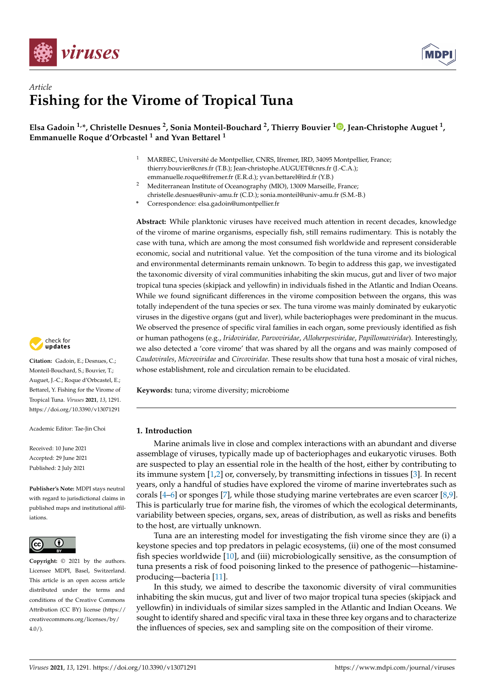



## *Article* **Fishing for the Virome of Tropical Tuna**

**Elsa Gadoin 1,\*, Christelle Desnues <sup>2</sup> , Sonia Monteil-Bouchard <sup>2</sup> , Thierry Bouvier <sup>1</sup> [,](https://orcid.org/0000-0002-7151-5680) Jean-Christophe Auguet <sup>1</sup> , Emmanuelle Roque d'Orbcastel <sup>1</sup> and Yvan Bettarel <sup>1</sup>**

- <sup>1</sup> MARBEC, Université de Montpellier, CNRS, Ifremer, IRD, 34095 Montpellier, France; thierry.bouvier@cnrs.fr (T.B.); Jean-christophe.AUGUET@cnrs.fr (J.-C.A.); emmanuelle.roque@ifremer.fr (E.R.d.); yvan.bettarel@ird.fr (Y.B.)
- <sup>2</sup> Mediterranean Institute of Oceanography (MIO), 13009 Marseille, France; christelle.desnues@univ-amu.fr (C.D.); sonia.monteil@univ-amu.fr (S.M.-B.)
- **\*** Correspondence: elsa.gadoin@umontpellier.fr

**Abstract:** While planktonic viruses have received much attention in recent decades, knowledge of the virome of marine organisms, especially fish, still remains rudimentary. This is notably the case with tuna, which are among the most consumed fish worldwide and represent considerable economic, social and nutritional value. Yet the composition of the tuna virome and its biological and environmental determinants remain unknown. To begin to address this gap, we investigated the taxonomic diversity of viral communities inhabiting the skin mucus, gut and liver of two major tropical tuna species (skipjack and yellowfin) in individuals fished in the Atlantic and Indian Oceans. While we found significant differences in the virome composition between the organs, this was totally independent of the tuna species or sex. The tuna virome was mainly dominated by eukaryotic viruses in the digestive organs (gut and liver), while bacteriophages were predominant in the mucus. We observed the presence of specific viral families in each organ, some previously identified as fish or human pathogens (e.g., *Iridoviridae, Parvoviridae*, *Alloherpesviridae*, *Papillomaviridae*). Interestingly, we also detected a 'core virome' that was shared by all the organs and was mainly composed of *Caudovirales*, *Microviridae* and *Circoviridae*. These results show that tuna host a mosaic of viral niches, whose establishment, role and circulation remain to be elucidated.

**Keywords:** tuna; virome diversity; microbiome

#### **1. Introduction**

Marine animals live in close and complex interactions with an abundant and diverse assemblage of viruses, typically made up of bacteriophages and eukaryotic viruses. Both are suspected to play an essential role in the health of the host, either by contributing to its immune system [1,2] or, conversely, by transmitting infections in tissues [3]. In recent years, only a handful of studies have explored the virome of marine invertebrates such as corals [4–6] or sponges [7], while those studying marine vertebrates are even scarcer [8,9]. This is particularly true for marine fish, the viromes of which the ecological determinants, variability between species, organs, sex, areas of distribution, as well as risks and benefits to the host, are virtually unknown.

Tuna are an interesting model for investigating the fish virome since they are (i) a keystone species and top predators in pelagic ecosystems, (ii) one of the most consumed fish species worldwide [10], and (iii) microbiologically sensitive, as the consumption of tuna presents a risk of food poisoning linked to the presence of pathogenic—histamineproducing—bacteria [11].

In this study, we aimed to describe the taxonomic diversity of viral communities inhabiting the skin mucus, gut and liver of two major tropical tuna species (skipjack and yellowfin) in individuals of similar sizes sampled in the Atlantic and Indian Oceans. We sought to identify shared and specific viral taxa in these three key organs and to characterize the influences of species, sex and sampling site on the composition of their virome.



**Citation:** Gadoin, E.; Desnues, C.; Monteil-Bouchard, S.; Bouvier, T.; Auguet, J.-C.; Roque d'Orbcastel, E.; Bettarel, Y. Fishing for the Virome of Tropical Tuna. *Viruses* **2021**, *13*, 1291. <https://doi.org/10.3390/v13071291>

Academic Editor: Tae-Jin Choi

Received: 10 June 2021 Accepted: 29 June 2021 Published: 2 July 2021

**Publisher's Note:** MDPI stays neutral with regard to jurisdictional claims in published maps and institutional affiliations.



**Copyright:** © 2021 by the authors. Licensee MDPI, Basel, Switzerland. This article is an open access article distributed under the terms and conditions of the Creative Commons Attribution (CC BY) license (https:/[/](https://creativecommons.org/licenses/by/4.0/) [creativecommons.org/licenses/by/](https://creativecommons.org/licenses/by/4.0/)  $4.0/$ ).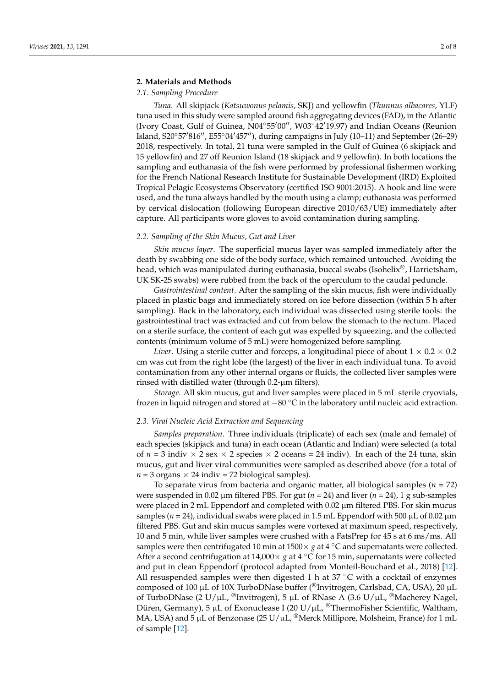#### **2. Materials and Methods**

#### *2.1. Sampling Procedure*

*Tuna.* All skipjack (*Katsuwonus pelamis,* SKJ) and yellowfin (*Thunnus albacares,* YLF) tuna used in this study were sampled around fish aggregating devices (FAD), in the Atlantic (Ivory Coast, Gulf of Guinea, N04°55'00", W03°42'19.97) and Indian Oceans (Reunion Island, S20°57'816", E55°04'457"), during campaigns in July (10–11) and September (26–29) 2018, respectively. In total, 21 tuna were sampled in the Gulf of Guinea (6 skipjack and 15 yellowfin) and 27 off Reunion Island (18 skipjack and 9 yellowfin). In both locations the sampling and euthanasia of the fish were performed by professional fishermen working for the French National Research Institute for Sustainable Development (IRD) Exploited Tropical Pelagic Ecosystems Observatory (certified ISO 9001:2015). A hook and line were used, and the tuna always handled by the mouth using a clamp; euthanasia was performed by cervical dislocation (following European directive 2010/63/UE) immediately after capture. All participants wore gloves to avoid contamination during sampling.

#### *2.2. Sampling of the Skin Mucus, Gut and Liver*

*Skin mucus layer*. The superficial mucus layer was sampled immediately after the death by swabbing one side of the body surface, which remained untouched. Avoiding the head, which was manipulated during euthanasia, buccal swabs (Isohelix®, Harrietsham, UK SK-2S swabs) were rubbed from the back of the operculum to the caudal peduncle.

*Gastrointestinal content*. After the sampling of the skin mucus, fish were individually placed in plastic bags and immediately stored on ice before dissection (within 5 h after sampling). Back in the laboratory, each individual was dissected using sterile tools: the gastrointestinal tract was extracted and cut from below the stomach to the rectum. Placed on a sterile surface, the content of each gut was expelled by squeezing, and the collected contents (minimum volume of 5 mL) were homogenized before sampling.

*Liver*. Using a sterile cutter and forceps, a longitudinal piece of about  $1 \times 0.2 \times 0.2$ cm was cut from the right lobe (the largest) of the liver in each individual tuna. To avoid contamination from any other internal organs or fluids, the collected liver samples were rinsed with distilled water (through 0.2-µm filters).

*Storage.* All skin mucus, gut and liver samples were placed in 5 mL sterile cryovials, frozen in liquid nitrogen and stored at −80 ◦C in the laboratory until nucleic acid extraction.

#### *2.3. Viral Nucleic Acid Extraction and Sequencing*

*Samples preparation*. Three individuals (triplicate) of each sex (male and female) of each species (skipjack and tuna) in each ocean (Atlantic and Indian) were selected (a total of  $n = 3$  indiv  $\times$  2 sex  $\times$  2 species  $\times$  2 oceans = 24 indiv). In each of the 24 tuna, skin mucus, gut and liver viral communities were sampled as described above (for a total of  $n = 3$  organs  $\times$  24 indiv = 72 biological samples).

To separate virus from bacteria and organic matter, all biological samples  $(n = 72)$ were suspended in 0.02  $\mu$ m filtered PBS. For gut ( $n = 24$ ) and liver ( $n = 24$ ), 1 g sub-samples were placed in 2 mL Eppendorf and completed with  $0.02 \mu m$  filtered PBS. For skin mucus samples ( $n = 24$ ), individual swabs were placed in 1.5 mL Eppendorf with 500  $\mu$ L of 0.02  $\mu$ m filtered PBS. Gut and skin mucus samples were vortexed at maximum speed, respectively, 10 and 5 min, while liver samples were crushed with a FatsPrep for 45 s at 6 ms/ms. All samples were then centrifugated 10 min at  $1500 \times g$  at  $4 \degree C$  and supernatants were collected. After a second centrifugation at 14,000× *g* at 4 ◦C for 15 min, supernatants were collected and put in clean Eppendorf (protocol adapted from Monteil-Bouchard et al., 2018) [12]. All resuspended samples were then digested 1 h at  $37 °C$  with a cocktail of enzymes composed of 100 µL of 10X TurboDNase buffer (®Invitrogen, Carlsbad, CA, USA), 20 µL of TurboDNase (2 U/µL,  $\mathbb{P}$ Invitrogen), 5 µL of RNase A (3.6 U/µL,  $\mathbb{P}$ Macherey Nagel, Düren, Germany), 5 μL of Exonuclease I (20 U/μL, ®ThermoFisher Scientific, Waltham, MA, USA) and 5  $\mu$ L of Benzonase (25 U/ $\mu$ L, <sup>®</sup>Merck Millipore, Molsheim, France) for 1 mL of sample [12].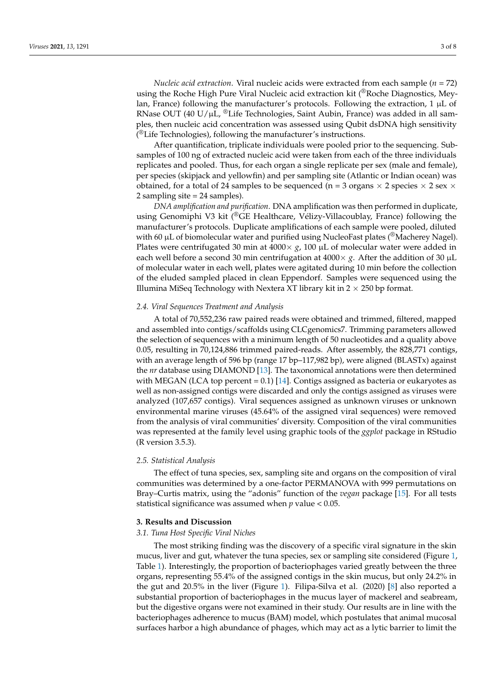*Nucleic acid extraction*. Viral nucleic acids were extracted from each sample (*n* = 72) using the Roche High Pure Viral Nucleic acid extraction kit (®Roche Diagnostics, Meylan, France) following the manufacturer's protocols. Following the extraction,  $1 \mu L$  of RNase OUT (40 U/ $\mu$ L, <sup>®</sup>Life Technologies, Saint Aubin, France) was added in all samples, then nucleic acid concentration was assessed using Qubit dsDNA high sensitivity  $(^{\circledR}$ Life Technologies), following the manufacturer's instructions.

After quantification, triplicate individuals were pooled prior to the sequencing. Subsamples of 100 ng of extracted nucleic acid were taken from each of the three individuals replicates and pooled. Thus, for each organ a single replicate per sex (male and female), per species (skipjack and yellowfin) and per sampling site (Atlantic or Indian ocean) was obtained, for a total of 24 samples to be sequenced (n = 3 organs  $\times$  2 species  $\times$  2 sex  $\times$ 2 sampling site = 24 samples).

*DNA amplification and purification*. DNA amplification was then performed in duplicate, using Genomiphi V3 kit (<sup>®</sup>GE Healthcare, Vélizy-Villacoublay, France) following the manufacturer's protocols. Duplicate amplifications of each sample were pooled, diluted with 60  $\mu$ L of biomolecular water and purified using NucleoFast plates ( $^{\circledR}$ Macherey Nagel). Plates were centrifugated 30 min at  $4000 \times g$ , 100 µL of molecular water were added in each well before a second 30 min centrifugation at  $4000 \times g$ . After the addition of 30  $\mu$ L of molecular water in each well, plates were agitated during 10 min before the collection of the eluded sampled placed in clean Eppendorf. Samples were sequenced using the Illumina MiSeq Technology with Nextera XT library kit in  $2 \times 250$  bp format.

#### *2.4. Viral Sequences Treatment and Analysis*

A total of 70,552,236 raw paired reads were obtained and trimmed, filtered, mapped and assembled into contigs/scaffolds using CLCgenomics7. Trimming parameters allowed the selection of sequences with a minimum length of 50 nucleotides and a quality above 0.05, resulting in 70,124,886 trimmed paired-reads. After assembly, the 828,771 contigs, with an average length of 596 bp (range 17 bp–117,982 bp), were aligned (BLASTx) against the *nr* database using DIAMOND [13]. The taxonomical annotations were then determined with MEGAN (LCA top percent  $= 0.1$ ) [14]. Contigs assigned as bacteria or eukaryotes as well as non-assigned contigs were discarded and only the contigs assigned as viruses were analyzed (107,657 contigs). Viral sequences assigned as unknown viruses or unknown environmental marine viruses (45.64% of the assigned viral sequences) were removed from the analysis of viral communities' diversity. Composition of the viral communities was represented at the family level using graphic tools of the *ggplot* package in RStudio (R version 3.5.3).

#### *2.5. Statistical Analysis*

The effect of tuna species, sex, sampling site and organs on the composition of viral communities was determined by a one-factor PERMANOVA with 999 permutations on Bray–Curtis matrix, using the "adonis" function of the *vegan* package [15]. For all tests statistical significance was assumed when *p* value < 0.05.

#### **3. Results and Discussion**

#### *3.1. Tuna Host Specific Viral Niches*

The most striking finding was the discovery of a specific viral signature in the skin mucus, liver and gut, whatever the tuna species, sex or sampling site considered (Figure 1, Table 1). Interestingly, the proportion of bacteriophages varied greatly between the three organs, representing 55.4% of the assigned contigs in the skin mucus, but only 24.2% in the gut and 20.5% in the liver (Figure 1). Filipa-Silva et al. (2020) [8] also reported a substantial proportion of bacteriophages in the mucus layer of mackerel and seabream, but the digestive organs were not examined in their study. Our results are in line with the bacteriophages adherence to mucus (BAM) model, which postulates that animal mucosal surfaces harbor a high abundance of phages, which may act as a lytic barrier to limit the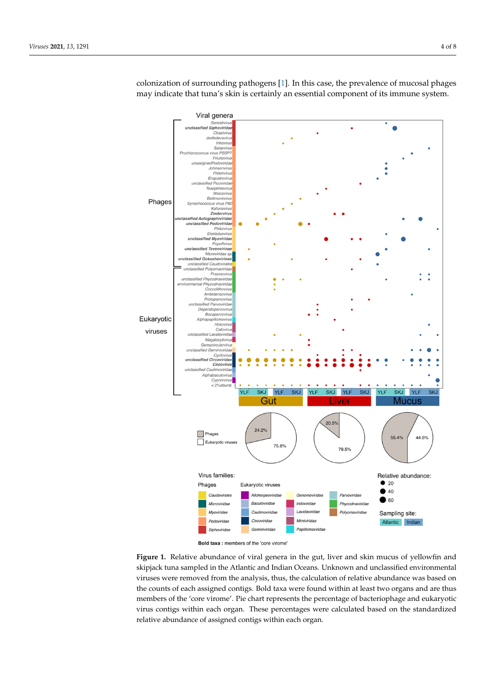

colonization of surrounding pathogens [1]. In this case, the prevalence of mucosal phages colonization of surrounding pathogens [1]. In this case, the prevalence of mucosal phages may indicate that tuna's skin is certainly an essential component of its immune system. may indicate that tuna's skin is certainly an essential component of its immune system.

the digestive organs were not examined in their study. Our results are in line with the

Bold taxa : members of the 'core virome

Figure 1. Relative abundance of viral genera in the gut, liver and skin mucus of yellowfin and skipjack tuna sampled in the Atlantic and Indian Oceans. Unknown and unclassified environmental viruses were removed from the analysis, thus, the calculation of relative abundance was based on the counts of each assigned contigs. Bold taxa were found within at least two organs and are thus members of the 'core virome'. Pie chart represents the percentage of bacteriophage and eukaryotic virus contigs within each organ. These percentages were calculated based on the standardized relative abundance of assigned contigs within each organ.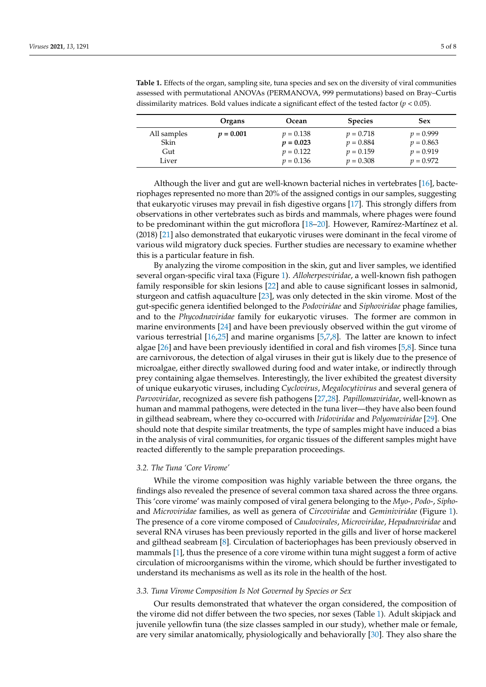|             | Organs      | Ocean       | <b>Species</b> | <b>Sex</b>  |
|-------------|-------------|-------------|----------------|-------------|
| All samples | $p = 0.001$ | $p = 0.138$ | $p = 0.718$    | $p = 0.999$ |
| Skin        |             | $p = 0.023$ | $p = 0.884$    | $p = 0.863$ |
| Gut         |             | $p = 0.122$ | $p = 0.159$    | $p = 0.919$ |
| Liver       |             | $v = 0.136$ | $p = 0.308$    | $v = 0.972$ |

**Table 1.** Effects of the organ, sampling site, tuna species and sex on the diversity of viral communities assessed with permutational ANOVAs (PERMANOVA, 999 permutations) based on Bray–Curtis dissimilarity matrices. Bold values indicate a significant effect of the tested factor (*p* < 0.05).

Although the liver and gut are well-known bacterial niches in vertebrates [16], bacteriophages represented no more than 20% of the assigned contigs in our samples, suggesting that eukaryotic viruses may prevail in fish digestive organs [17]. This strongly differs from observations in other vertebrates such as birds and mammals, where phages were found to be predominant within the gut microflora [18–20]. However, Ramírez-Martínez et al. (2018) [21] also demonstrated that eukaryotic viruses were dominant in the fecal virome of various wild migratory duck species. Further studies are necessary to examine whether this is a particular feature in fish.

By analyzing the virome composition in the skin, gut and liver samples, we identified several organ-specific viral taxa (Figure 1). *Alloherpesviridae*, a well-known fish pathogen family responsible for skin lesions [22] and able to cause significant losses in salmonid, sturgeon and catfish aquaculture [23], was only detected in the skin virome. Most of the gut-specific genera identified belonged to the *Podoviridae* and *Siphoviridae* phage families, and to the *Phycodnaviridae* family for eukaryotic viruses. The former are common in marine environments [24] and have been previously observed within the gut virome of various terrestrial [16,25] and marine organisms [5,7,8]. The latter are known to infect algae [26] and have been previously identified in coral and fish viromes [5,8]. Since tuna are carnivorous, the detection of algal viruses in their gut is likely due to the presence of microalgae, either directly swallowed during food and water intake, or indirectly through prey containing algae themselves. Interestingly, the liver exhibited the greatest diversity of unique eukaryotic viruses, including *Cyclovirus*, *Megalocytivirus* and several genera of *Parvoviridae*, recognized as severe fish pathogens [27,28]. *Papillomaviridae*, well-known as human and mammal pathogens, were detected in the tuna liver—they have also been found in gilthead seabream, where they co-occurred with *Iridoviridae* and *Polyomaviridae* [29]. One should note that despite similar treatments, the type of samples might have induced a bias in the analysis of viral communities, for organic tissues of the different samples might have reacted differently to the sample preparation proceedings.

#### *3.2. The Tuna 'Core Virome'*

While the virome composition was highly variable between the three organs, the findings also revealed the presence of several common taxa shared across the three organs. This 'core virome' was mainly composed of viral genera belonging to the *Myo*-, *Podo*-, *Sipho*and *Microviridae* families, as well as genera of *Circoviridae* and *Geminiviridae* (Figure 1). The presence of a core virome composed of *Caudovirales*, *Microviridae*, *Hepadnaviridae* and several RNA viruses has been previously reported in the gills and liver of horse mackerel and gilthead seabream [8]. Circulation of bacteriophages has been previously observed in mammals [1], thus the presence of a core virome within tuna might suggest a form of active circulation of microorganisms within the virome, which should be further investigated to understand its mechanisms as well as its role in the health of the host.

#### *3.3. Tuna Virome Composition Is Not Governed by Species or Sex*

Our results demonstrated that whatever the organ considered, the composition of the virome did not differ between the two species, nor sexes (Table 1). Adult skipjack and juvenile yellowfin tuna (the size classes sampled in our study), whether male or female, are very similar anatomically, physiologically and behaviorally [30]. They also share the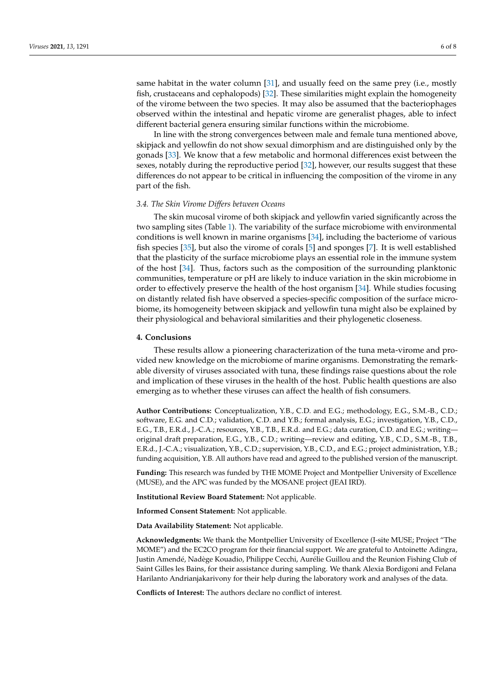same habitat in the water column [31], and usually feed on the same prey (i.e., mostly fish, crustaceans and cephalopods) [32]. These similarities might explain the homogeneity of the virome between the two species. It may also be assumed that the bacteriophages observed within the intestinal and hepatic virome are generalist phages, able to infect different bacterial genera ensuring similar functions within the microbiome.

In line with the strong convergences between male and female tuna mentioned above, skipjack and yellowfin do not show sexual dimorphism and are distinguished only by the gonads [33]. We know that a few metabolic and hormonal differences exist between the sexes, notably during the reproductive period [32], however, our results suggest that these differences do not appear to be critical in influencing the composition of the virome in any part of the fish.

#### *3.4. The Skin Virome Differs between Oceans*

The skin mucosal virome of both skipjack and yellowfin varied significantly across the two sampling sites (Table 1). The variability of the surface microbiome with environmental conditions is well known in marine organisms [34], including the bacteriome of various fish species [35], but also the virome of corals [5] and sponges [7]. It is well established that the plasticity of the surface microbiome plays an essential role in the immune system of the host [34]. Thus, factors such as the composition of the surrounding planktonic communities, temperature or pH are likely to induce variation in the skin microbiome in order to effectively preserve the health of the host organism [34]. While studies focusing on distantly related fish have observed a species-specific composition of the surface microbiome, its homogeneity between skipjack and yellowfin tuna might also be explained by their physiological and behavioral similarities and their phylogenetic closeness.

#### **4. Conclusions**

These results allow a pioneering characterization of the tuna meta-virome and provided new knowledge on the microbiome of marine organisms. Demonstrating the remarkable diversity of viruses associated with tuna, these findings raise questions about the role and implication of these viruses in the health of the host. Public health questions are also emerging as to whether these viruses can affect the health of fish consumers.

**Author Contributions:** Conceptualization, Y.B., C.D. and E.G.; methodology, E.G., S.M.-B., C.D.; software, E.G. and C.D.; validation, C.D. and Y.B.; formal analysis, E.G.; investigation, Y.B., C.D., E.G., T.B., E.R.d., J.-C.A.; resources, Y.B., T.B., E.R.d. and E.G.; data curation, C.D. and E.G.; writing original draft preparation, E.G., Y.B., C.D.; writing—review and editing, Y.B., C.D., S.M.-B., T.B., E.R.d., J.-C.A.; visualization, Y.B., C.D.; supervision, Y.B., C.D., and E.G.; project administration, Y.B.; funding acquisition, Y.B. All authors have read and agreed to the published version of the manuscript.

**Funding:** This research was funded by THE MOME Project and Montpellier University of Excellence (MUSE), and the APC was funded by the MOSANE project (JEAI IRD).

**Institutional Review Board Statement:** Not applicable.

**Informed Consent Statement:** Not applicable.

**Data Availability Statement:** Not applicable.

**Acknowledgments:** We thank the Montpellier University of Excellence (I-site MUSE; Project "The MOME") and the EC2CO program for their financial support. We are grateful to Antoinette Adingra, Justin Amendé, Nadège Kouadio, Philippe Cecchi, Aurélie Guillou and the Reunion Fishing Club of Saint Gilles les Bains, for their assistance during sampling. We thank Alexia Bordigoni and Felana Harilanto Andrianjakarivony for their help during the laboratory work and analyses of the data.

**Conflicts of Interest:** The authors declare no conflict of interest.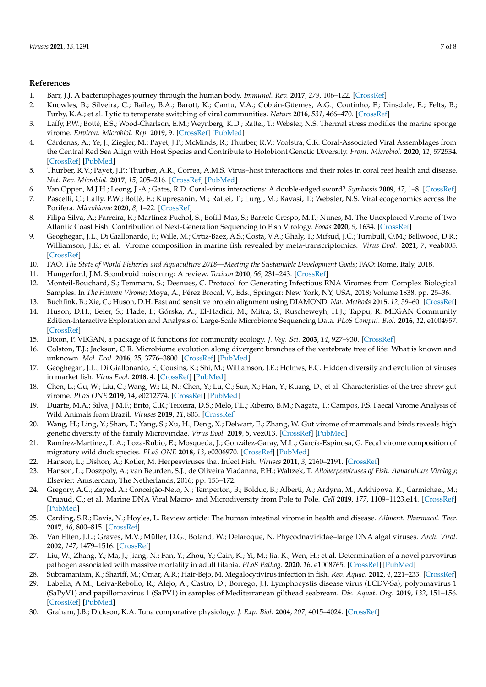#### **References**

- 1. Barr, J.J. A bacteriophages journey through the human body. *Immunol. Rev.* **2017**, *279*, 106–122. [\[CrossRef\]](http://doi.org/10.1111/imr.12565)
- 2. Knowles, B.; Silveira, C.; Bailey, B.A.; Barott, K.; Cantu, V.A.; Cobián-Güemes, A.G.; Coutinho, F.; Dinsdale, E.; Felts, B.; Furby, K.A.; et al. Lytic to temperate switching of viral communities. *Nature* **2016**, *531*, 466–470. [\[CrossRef\]](http://doi.org/10.1038/nature17193)
- 3. Laffy, P.W.; Botté, E.S.; Wood-Charlson, E.M.; Weynberg, K.D.; Rattei, T.; Webster, N.S. Thermal stress modifies the marine sponge virome. *Environ. Microbiol. Rep.* **2019**, 9. [\[CrossRef\]](http://doi.org/10.1111/1758-2229.12782) [\[PubMed\]](http://www.ncbi.nlm.nih.gov/pubmed/31283094)
- 4. Cárdenas, A.; Ye, J.; Ziegler, M.; Payet, J.P.; McMinds, R.; Thurber, R.V.; Voolstra, C.R. Coral-Associated Viral Assemblages from the Central Red Sea Align with Host Species and Contribute to Holobiont Genetic Diversity. *Front. Microbiol.* **2020**, *11*, 572534. [\[CrossRef\]](http://doi.org/10.3389/fmicb.2020.572534) [\[PubMed\]](http://www.ncbi.nlm.nih.gov/pubmed/33117317)
- 5. Thurber, R.V.; Payet, J.P.; Thurber, A.R.; Correa, A.M.S. Virus–host interactions and their roles in coral reef health and disease. *Nat. Rev. Microbiol.* **2017**, *15*, 205–216. [\[CrossRef\]](http://doi.org/10.1038/nrmicro.2016.176) [\[PubMed\]](http://www.ncbi.nlm.nih.gov/pubmed/28090075)
- 6. Van Oppen, M.J.H.; Leong, J.-A.; Gates, R.D. Coral-virus interactions: A double-edged sword? *Symbiosis* **2009**, *47*, 1–8. [\[CrossRef\]](http://doi.org/10.1007/BF03179964)
- 7. Pascelli, C.; Laffy, P.W.; Botté, E.; Kupresanin, M.; Rattei, T.; Lurgi, M.; Ravasi, T.; Webster, N.S. Viral ecogenomics across the Porifera. *Microbiome* **2020**, *8*, 1–22. [\[CrossRef\]](http://doi.org/10.1186/s40168-020-00919-5)
- 8. Filipa-Silva, A.; Parreira, R.; Martínez-Puchol, S.; Bofill-Mas, S.; Barreto Crespo, M.T.; Nunes, M. The Unexplored Virome of Two Atlantic Coast Fish: Contribution of Next-Generation Sequencing to Fish Virology. *Foods* **2020**, *9*, 1634. [\[CrossRef\]](http://doi.org/10.3390/foods9111634)
- 9. Geoghegan, J.L.; Di Giallonardo, F.; Wille, M.; Ortiz-Baez, A.S.; Costa, V.A.; Ghaly, T.; Mifsud, J.C.; Turnbull, O.M.; Bellwood, D.R.; Williamson, J.E.; et al. Virome composition in marine fish revealed by meta-transcriptomics. *Virus Evol.* **2021**, *7*, veab005. [\[CrossRef\]](http://doi.org/10.1093/ve/veab005)
- 10. FAO. *The State of World Fisheries and Aquaculture 2018—Meeting the Sustainable Development Goals*; FAO: Rome, Italy, 2018.
- 11. Hungerford, J.M. Scombroid poisoning: A review. *Toxicon* **2010**, *56*, 231–243. [\[CrossRef\]](http://doi.org/10.1016/j.toxicon.2010.02.006)
- 12. Monteil-Bouchard, S.; Temmam, S.; Desnues, C. Protocol for Generating Infectious RNA Viromes from Complex Biological Samples. In *The Human Virome*; Moya, A., Pérez Brocal, V., Eds.; Springer: New York, NY, USA, 2018; Volume 1838, pp. 25–36.
- 13. Buchfink, B.; Xie, C.; Huson, D.H. Fast and sensitive protein alignment using DIAMOND. *Nat. Methods* **2015**, *12*, 59–60. [\[CrossRef\]](http://doi.org/10.1038/nmeth.3176)
- 14. Huson, D.H.; Beier, S.; Flade, I.; Górska, A.; El-Hadidi, M.; Mitra, S.; Ruscheweyh, H.J.; Tappu, R. MEGAN Community Edition-Interactive Exploration and Analysis of Large-Scale Microbiome Sequencing Data. *PLoS Comput. Biol.* **2016**, *12*, e1004957. [\[CrossRef\]](http://doi.org/10.1371/journal.pcbi.1004957)
- 15. Dixon, P. VEGAN, a package of R functions for community ecology. *J. Veg. Sci.* **2003**, *14*, 927–930. [\[CrossRef\]](http://doi.org/10.1111/j.1654-1103.2003.tb02228.x)
- 16. Colston, T.J.; Jackson, C.R. Microbiome evolution along divergent branches of the vertebrate tree of life: What is known and unknown. *Mol. Ecol.* **2016**, *25*, 3776–3800. [\[CrossRef\]](http://doi.org/10.1111/mec.13730) [\[PubMed\]](http://www.ncbi.nlm.nih.gov/pubmed/27297628)
- 17. Geoghegan, J.L.; Di Giallonardo, F.; Cousins, K.; Shi, M.; Williamson, J.E.; Holmes, E.C. Hidden diversity and evolution of viruses in market fish. *Virus Evol.* **2018**, 4. [\[CrossRef\]](http://doi.org/10.1093/ve/vey031) [\[PubMed\]](http://www.ncbi.nlm.nih.gov/pubmed/30397510)
- 18. Chen, L.; Gu, W.; Liu, C.; Wang, W.; Li, N.; Chen, Y.; Lu, C.; Sun, X.; Han, Y.; Kuang, D.; et al. Characteristics of the tree shrew gut virome. *PLoS ONE* **2019**, *14*, e0212774. [\[CrossRef\]](http://doi.org/10.1371/journal.pone.0212774) [\[PubMed\]](http://www.ncbi.nlm.nih.gov/pubmed/30807598)
- 19. Duarte, M.A.; Silva, J.M.F.; Brito, C.R.; Teixeira, D.S.; Melo, F.L.; Ribeiro, B.M.; Nagata, T.; Campos, F.S. Faecal Virome Analysis of Wild Animals from Brazil. *Viruses* **2019**, *11*, 803. [\[CrossRef\]](http://doi.org/10.3390/v11090803)
- 20. Wang, H.; Ling, Y.; Shan, T.; Yang, S.; Xu, H.; Deng, X.; Delwart, E.; Zhang, W. Gut virome of mammals and birds reveals high genetic diversity of the family Microviridae. *Virus Evol.* **2019**, *5*, vez013. [\[CrossRef\]](http://doi.org/10.1093/ve/vez013) [\[PubMed\]](http://www.ncbi.nlm.nih.gov/pubmed/31191981)
- 21. Ramírez-Martínez, L.A.; Loza-Rubio, E.; Mosqueda, J.; González-Garay, M.L.; García-Espinosa, G. Fecal virome composition of migratory wild duck species. *PLoS ONE* **2018**, *13*, e0206970. [\[CrossRef\]](http://doi.org/10.1371/journal.pone.0206970) [\[PubMed\]](http://www.ncbi.nlm.nih.gov/pubmed/30462678)
- 22. Hanson, L.; Dishon, A.; Kotler, M. Herpesviruses that Infect Fish. *Viruses* **2011**, *3*, 2160–2191. [\[CrossRef\]](http://doi.org/10.3390/v3112160)
- 23. Hanson, L.; Doszpoly, A.; van Beurden, S.J.; de Oliveira Viadanna, P.H.; Waltzek, T. *Alloherpesviruses of Fish. Aquaculture Virology*; Elsevier: Amsterdam, The Netherlands, 2016; pp. 153–172.
- 24. Gregory, A.C.; Zayed, A.; Conceição-Neto, N.; Temperton, B.; Bolduc, B.; Alberti, A.; Ardyna, M.; Arkhipova, K.; Carmichael, M.; Cruaud, C.; et al. Marine DNA Viral Macro- and Microdiversity from Pole to Pole. *Cell* **2019**, *177*, 1109–1123.e14. [\[CrossRef\]](http://doi.org/10.1016/j.cell.2019.03.040) [\[PubMed\]](http://www.ncbi.nlm.nih.gov/pubmed/31031001)
- 25. Carding, S.R.; Davis, N.; Hoyles, L. Review article: The human intestinal virome in health and disease. *Aliment. Pharmacol. Ther.* **2017**, *46*, 800–815. [\[CrossRef\]](http://doi.org/10.1111/apt.14280)
- 26. Van Etten, J.L.; Graves, M.V.; Müller, D.G.; Boland, W.; Delaroque, N. Phycodnaviridae–large DNA algal viruses. *Arch. Virol.* **2002**, *147*, 1479–1516. [\[CrossRef\]](http://doi.org/10.1007/s00705-002-0822-6)
- 27. Liu, W.; Zhang, Y.; Ma, J.; Jiang, N.; Fan, Y.; Zhou, Y.; Cain, K.; Yi, M.; Jia, K.; Wen, H.; et al. Determination of a novel parvovirus pathogen associated with massive mortality in adult tilapia. *PLoS Pathog.* **2020**, *16*, e1008765. [\[CrossRef\]](http://doi.org/10.1371/journal.ppat.1008765) [\[PubMed\]](http://www.ncbi.nlm.nih.gov/pubmed/32970777)
- 28. Subramaniam, K.; Shariff, M.; Omar, A.R.; Hair-Bejo, M. Megalocytivirus infection in fish. *Rev. Aquac.* **2012**, *4*, 221–233. [\[CrossRef\]](http://doi.org/10.1111/j.1753-5131.2012.01075.x)
- 29. Labella, A.M.; Leiva-Rebollo, R.; Alejo, A.; Castro, D.; Borrego, J.J. Lymphocystis disease virus (LCDV-Sa), polyomavirus 1 (SaPyV1) and papillomavirus 1 (SaPV1) in samples of Mediterranean gilthead seabream. *Dis. Aquat. Org.* **2019**, *132*, 151–156. [\[CrossRef\]](http://doi.org/10.3354/dao03311) [\[PubMed\]](http://www.ncbi.nlm.nih.gov/pubmed/30628581)
- 30. Graham, J.B.; Dickson, K.A. Tuna comparative physiology. *J. Exp. Biol.* **2004**, *207*, 4015–4024. [\[CrossRef\]](http://doi.org/10.1242/jeb.01267)